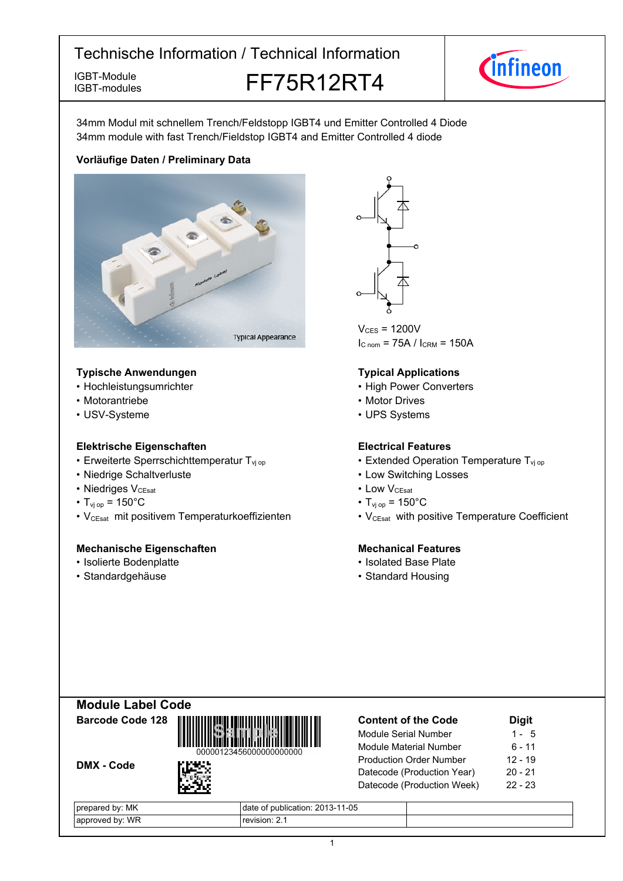IGBT-modules

IGBT-Module **FF75R12RT4** 



34mm Modul mit schnellem Trench/Feldstopp IGBT4 und Emitter Controlled 4 Diode 34mm module with fast Trench/Fieldstop IGBT4 and Emitter Controlled 4 diode

### **Vorläufige-Daten-/-Preliminary-Data**



### **Typische-Anwendungen Typical-**

- Hochleistungsumrichter
- Motorantriebe
- USV-Systeme

### **Elektrische Eigenschaften Electrical-**

- Erweiterte Sperrschichttemperatur T<sub>vi</sub>
- Niedrige-Schaltverluste Low-
- Niedriges V<sub>CEsat</sub>
- $T_{\text{vi op}} = 150^{\circ}$ C  $T_{\text{vi}}$
- V<sub>CEsat</sub> mit positivem Temperaturkoeffizienten V<sub>CEsat</sub>

### **Mechanische Eigenschaften Mechanical-**

- Isolierte Bodenplatte Isolated
- Standardgehäuse



 $V_{CFS}$  = 1200V  $I_{C nom}$  = 75A /  $I_{CRM}$  = 150A

### **Typical Applications**

- Power Converters
- Motor Drives
- UPS Systems

### **Electrical Features**

- op  **Extended Operation Temperature T<sub>vj op</sub>** 
	- Switching Losses
- $V_{\text{CEsat}}$  Low  $V_{\text{CEsat}}$ 
	- $_{\text{op}}$  = 150 $^{\circ}$ C
	- with positive Temperature Coefficient

### **Mechanical Features**

- Base-Plate
- Standard Housing



DMX - Code



| <b>Content of the Code</b>     | <b>Digit</b> |
|--------------------------------|--------------|
| Module Serial Number           | 1 - 5        |
| Module Material Number         | $6 - 11$     |
| <b>Production Order Number</b> | $12 - 19$    |
| Datecode (Production Year)     | $20 - 21$    |
| Datecode (Production Week)     | $22 - 23$    |
|                                |              |

| MK<br>bv.<br>pared        | $1 - 05$<br>0010<br>publication: 2013-1<br>0T |  |
|---------------------------|-----------------------------------------------|--|
| WR<br>hv:<br>or<br>proved | $\sqrt{3}$ (ISION: 2.1                        |  |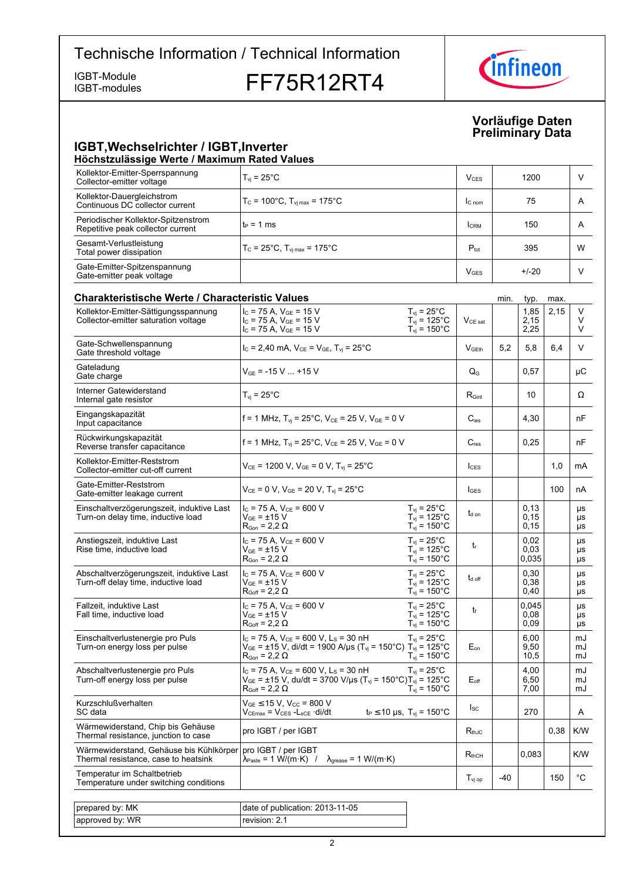IGBT-modules

IGBT-Module<br>IGBT-modules **FF75R12RT4** 



### **Vorläufige-Daten Preliminary-Data**

### **IGBT, Wechselrichter / IGBT, Inverter Höchstzulässige-Werte-/-Maximum-Rated-Values**

| Kollektor-Emitter-Sperrspannung<br>Collector-emitter voltage             | $T_{vi}$ = 25 $^{\circ}$ C                                 | V <sub>CES</sub>       | 1200    |   |
|--------------------------------------------------------------------------|------------------------------------------------------------|------------------------|---------|---|
| Kollektor-Dauergleichstrom<br>Continuous DC collector current            | $T_c = 100^{\circ}$ C, $T_{\text{Vj max}} = 175^{\circ}$ C | $C_{nom}$              | 75      | A |
| Periodischer Kollektor-Spitzenstrom<br>Repetitive peak collector current | $t_P = 1$ ms                                               | <b>CRM</b>             | 150     | A |
| Gesamt-Verlustleistung<br>Total power dissipation                        | $T_c = 25^{\circ}$ C, $T_{\text{vi max}} = 175^{\circ}$ C  | $P_{\text{tot}}$       | 395     | W |
| Gate-Emitter-Spitzenspannung<br>Gate-emitter peak voltage                |                                                            | <b>V<sub>GES</sub></b> | $+/-20$ |   |

| <b>Charakteristische Werte / Characteristic Values</b>                          |                                                                                                                                                                                               |                                                                                |                     | min. | typ.                  | max. |                |
|---------------------------------------------------------------------------------|-----------------------------------------------------------------------------------------------------------------------------------------------------------------------------------------------|--------------------------------------------------------------------------------|---------------------|------|-----------------------|------|----------------|
| Kollektor-Emitter-Sättigungsspannung<br>Collector-emitter saturation voltage    | $I_C$ = 75 A, $V_{GF}$ = 15 V<br>$I_C$ = 75 A, $V_{GE}$ = 15 V<br>$I_C$ = 75 A, $V_{GE}$ = 15 V                                                                                               | $T_{vi}$ = 25 $^{\circ}$ C<br>$T_{vi}$ = 125°C<br>$T_{vi}$ = 150 $^{\circ}$ C  | $V_{CE\ sat}$       |      | 1,85<br>2,15<br>2,25  | 2,15 | V<br>V<br>V    |
| Gate-Schwellenspannung<br>Gate threshold voltage                                | $I_c = 2,40$ mA, $V_{CE} = V_{GE}$ , $T_{vi} = 25^{\circ}$ C                                                                                                                                  |                                                                                | V <sub>GEth</sub>   | 5,2  | 5,8                   | 6,4  | V              |
| Gateladung<br>Gate charge                                                       | $V_{GE}$ = -15 V  +15 V                                                                                                                                                                       |                                                                                | $Q_{G}$             |      | 0,57                  |      | μC             |
| Interner Gatewiderstand<br>Internal gate resistor                               | $T_{vi}$ = 25°C                                                                                                                                                                               |                                                                                | $R_{\text{Gint}}$   |      | 10                    |      | Ω              |
| Eingangskapazität<br>Input capacitance                                          | f = 1 MHz, $T_{vi}$ = 25°C, $V_{CE}$ = 25 V, $V_{GE}$ = 0 V                                                                                                                                   |                                                                                | $C_{\text{ies}}$    |      | 4,30                  |      | nF             |
| Rückwirkungskapazität<br>Reverse transfer capacitance                           | f = 1 MHz, $T_{vi}$ = 25°C, $V_{CE}$ = 25 V, $V_{GE}$ = 0 V                                                                                                                                   |                                                                                | $C_{res}$           |      | 0,25                  |      | nF             |
| Kollektor-Emitter-Reststrom<br>Collector-emitter cut-off current                | $V_{CE}$ = 1200 V, $V_{GE}$ = 0 V, $T_{vj}$ = 25°C                                                                                                                                            |                                                                                | lc <sub>ES</sub>    |      |                       | 1,0  | mA             |
| Gate-Emitter-Reststrom<br>Gate-emitter leakage current                          | $V_{CE} = 0 V$ , $V_{GE} = 20 V$ , $T_{vi} = 25^{\circ}$ C                                                                                                                                    |                                                                                | $I_{\text{GES}}$    |      |                       | 100  | nA             |
| Einschaltverzögerungszeit, induktive Last<br>Turn-on delay time, inductive load | $I_{C}$ = 75 A, $V_{CE}$ = 600 V<br>$\rm V_{GF}$ = ±15 $\rm V$<br>$\mathsf{R}_{\mathsf{Gon}}$ = 2,2 $\Omega$                                                                                  | $T_{vi}$ = 25°C<br>$T_{vi}$ = 125°C<br>$T_{\rm vj} = 150^{\circ}$ C            | t <sub>d on</sub>   |      | 0,13<br>0, 15<br>0,15 |      | μs<br>μs<br>μs |
| Anstiegszeit, induktive Last<br>Rise time, inductive load                       | $I_{C}$ = 75 A, $V_{CF}$ = 600 V<br>$V_{GF}$ = ±15 V<br>$\mathsf{R}_{\mathsf{Gon}}$ = 2,2 $\Omega$                                                                                            | $T_{vi}$ = 25 $^{\circ}$ C<br>$T_{vi}$ = 125°C<br>$T_{vi}$ = 150 $^{\circ}$ C  | $t_{r}$             |      | 0,02<br>0,03<br>0,035 |      | μs<br>μs<br>μs |
| Abschaltverzögerungszeit, induktive Last<br>Turn-off delay time, inductive load | $I_C$ = 75 A, $V_{CE}$ = 600 V<br>$V_{GF}$ = $\pm 15$ $V$<br>$R_{Goff}$ = 2,2 $\Omega$                                                                                                        | $T_{vi}$ = 25 $^{\circ}$ C<br>$T_{vi}$ = 125°C<br>$T_{vi}$ = 150 $^{\circ}$ C  | $t_{d \text{ off}}$ |      | 0,30<br>0,38<br>0,40  |      | μs<br>μs<br>μs |
| Fallzeit, induktive Last<br>Fall time, inductive load                           | $I_C$ = 75 A, $V_{CE}$ = 600 V<br>$\rm V_{GE}$ = $\pm 15~\rm V$<br>$R_{Goff}$ = 2,2 $\Omega$                                                                                                  | $T_{vi}$ = 25 $^{\circ}$ C<br>$T_{vi}$ = 125°C<br>$T_{\rm vj} = 150^{\circ}$ C | $t_{\rm f}$         |      | 0.045<br>0,08<br>0,09 |      | μs<br>μs<br>μs |
| Einschaltverlustenergie pro Puls<br>Turn-on energy loss per pulse               | $I_C$ = 75 A, $V_{CE}$ = 600 V, L <sub>S</sub> = 30 nH<br>$V_{GE}$ = ±15 V, di/dt = 1900 A/µs (T <sub>vi</sub> = 150°C) T <sub>vi</sub> = 125°C<br>$\mathsf{R}_{\mathsf{Gon}}$ = 2,2 $\Omega$ | $T_{vi}$ = 25°C<br>$T_{vi}$ = 150 $^{\circ}$ C                                 | $E_{on}$            |      | 6.00<br>9.50<br>10,5  |      | mJ<br>mJ<br>mJ |
| Abschaltverlustenergie pro Puls<br>Turn-off energy loss per pulse               | $I_c$ = 75 A, $V_{CE}$ = 600 V, L <sub>s</sub> = 30 nH<br>$V_{GE}$ = ±15 V, du/dt = 3700 V/µs (T <sub>vj</sub> = 150°C)T <sub>vj</sub> = 125°C<br>$R_{Goff}$ = 2,2 $\Omega$                   | $T_{\rm vj}$ = 25°C<br>$T_{vi}$ = 150 $^{\circ}$ C                             | $E_{\text{off}}$    |      | 4.00<br>6,50<br>7,00  |      | mJ<br>mJ<br>mJ |
| Kurzschlußverhalten<br>SC data                                                  | $V_{GE}$ $\leq$ 15 V, V <sub>CC</sub> = 800 V<br>$V_{CEmax} = V_{CES} - L_{sCE} \cdot di/dt$                                                                                                  | $t_P \le 10 \text{ }\mu\text{s}, T_{\text{vi}} = 150^{\circ}\text{C}$          | <sub>sc</sub>       |      | 270                   |      | A              |
| Wärmewiderstand, Chip bis Gehäuse<br>Thermal resistance, junction to case       | pro IGBT / per IGBT                                                                                                                                                                           |                                                                                | $R_{thJC}$          |      |                       | 0,38 | K/W            |
| Wärmewiderstand, Gehäuse bis Kühlkörper<br>Thermal resistance, case to heatsink | pro IGBT / per IGBT<br>$\lambda_{\text{Paste}} = 1 \text{ W/(m·K)}$ /<br>$\lambda_{\text{grease}} = 1 \text{ W/(m·K)}$                                                                        |                                                                                | $R_{thCH}$          |      | 0,083                 |      | K/W            |
| Temperatur im Schaltbetrieb<br>Temperature under switching conditions           |                                                                                                                                                                                               |                                                                                | $T_{\text{vj op}}$  | -40  |                       | 150  | $^{\circ}$ C   |
|                                                                                 |                                                                                                                                                                                               |                                                                                |                     |      |                       |      |                |
| prepared by: MK<br>approved by: WR                                              | date of publication: 2013-11-05<br>revision: 2.1                                                                                                                                              |                                                                                |                     |      |                       |      |                |
|                                                                                 |                                                                                                                                                                                               |                                                                                |                     |      |                       |      |                |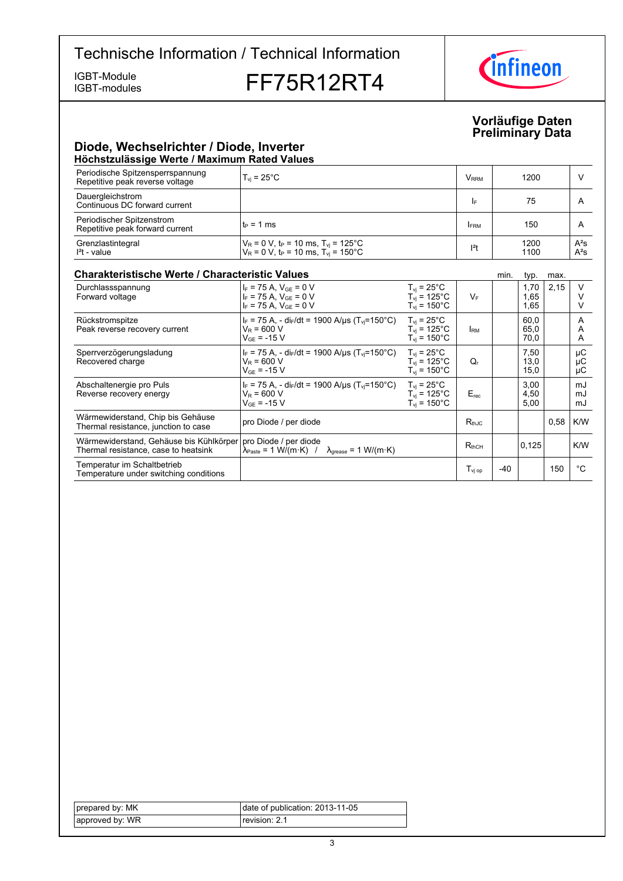IGBT-modules

IGBT-Module<br>IGBT-modules **FF75R12RT4** 



### **Vorläufige-Daten Preliminary-Data**

### **Diode,-Wechselrichter-/-Diode,-Inverter Höchstzulässige-Werte-/-Maximum-Rated-Values**

| Periodische Spitzensperrspannung<br>Repetitive peak reverse voltage | $T_{\rm vi}$ = 25 $^{\circ}$ C                                                                                                        | <b>V</b> <sub>RRM</sub> | 1200         |                  |
|---------------------------------------------------------------------|---------------------------------------------------------------------------------------------------------------------------------------|-------------------------|--------------|------------------|
| Dauergleichstrom<br>Continuous DC forward current                   |                                                                                                                                       | I۴                      | 75           |                  |
| Periodischer Spitzenstrom<br>Repetitive peak forward current        | l t∍ = 1 ms                                                                                                                           | <b>FRM</b>              | 150          |                  |
| Grenzlastintegral<br>$l2t$ - value                                  | $V_R = 0$ V, t <sub>P</sub> = 10 ms, T <sub>vj</sub> = 125°C<br>V <sub>R</sub> = 0 V, t <sub>P</sub> = 10 ms, T <sub>vj</sub> = 150°C | $12$ t                  | 1200<br>1100 | $A^2S$<br>$A^2S$ |

### **Charakteristische Werte / Characteristic**

| <b>Charakteristische Werte / Characteristic Values</b>                          |                                                                                                                       |                                                                                |                              | min.  | typ.                 | max. |                |
|---------------------------------------------------------------------------------|-----------------------------------------------------------------------------------------------------------------------|--------------------------------------------------------------------------------|------------------------------|-------|----------------------|------|----------------|
| Durchlassspannung<br>Forward voltage                                            | $I_F$ = 75 A, $V_{GF}$ = 0 V<br>$I_F$ = 75 A. $V_{GF}$ = 0 V<br>$I_F$ = 75 A. $V_{GE}$ = 0 V                          | $T_{\rm vi}$ = 25°C<br>$T_{\rm vi}$ = 125°C<br>$T_{\rm vi}$ = 150 $^{\circ}$ C | $V_F$                        |       | 1,70<br>1,65<br>1,65 | 2,15 | $\vee$         |
| Rückstromspitze<br>Peak reverse recovery current                                | $I_F$ = 75 A, - di $_F/dt$ = 1900 A/ $\mu$ s (T <sub>vi</sub> =150°C)<br>$V_R = 600 V$<br>$V_{GF}$ = -15 V            | $T_{vi}$ = 25°C<br>$T_{\rm vi}$ = 125°C<br>$T_{\rm vi}$ = 150°C.               | <b>RM</b>                    |       | 60,0<br>65,0<br>70,0 |      | A<br>A<br>A    |
| Sperrverzögerungsladung<br>Recovered charge                                     | $I_F$ = 75 A, - di $_F/dt$ = 1900 A/ $\mu$ s (T <sub>vi</sub> =150°C)<br>$V_{\rm B}$ = 600 V<br>$V_{GF}$ = -15 V      | $T_{\text{vi}}$ = 25 $^{\circ}$ C<br>$T_{vi}$ = 125°C<br>$T_{\rm vi}$ = 150°C. | Q,                           |       | 7,50<br>13,0<br>15,0 |      | μC<br>μC<br>μC |
| Abschaltenergie pro Puls<br>Reverse recovery energy                             | $I_F$ = 75 A, - di <sub>F</sub> /dt = 1900 A/us (T <sub>vi</sub> =150°C)<br>$V_R$ = 600 V<br>$V_{GF}$ = -15 V         | $T_{vi}$ = 25 $^{\circ}$ C<br>$T_{vi}$ = 125°C<br>$T_{vi}$ = 150 $^{\circ}$ C  | $E_{rec}$                    |       | 3,00<br>4,50<br>5,00 |      | mJ<br>mJ<br>mJ |
| Wärmewiderstand, Chip bis Gehäuse<br>Thermal resistance, junction to case       | pro Diode / per diode                                                                                                 |                                                                                | $R_{thJC}$                   |       |                      | 0.58 | K/W            |
| Wärmewiderstand, Gehäuse bis Kühlkörper<br>Thermal resistance, case to heatsink | pro Diode / per diode<br>$\lambda_{\text{Paste}} = 1 \text{ W/(m·K)}$ / $\lambda_{\text{grease}} = 1 \text{ W/(m·K)}$ |                                                                                | $R_{thCH}$                   |       | 0,125                |      | K/W            |
| Temperatur im Schaltbetrieb<br>Temperature under switching conditions           |                                                                                                                       |                                                                                | $\mathsf{T}_\mathsf{vi\ op}$ | $-40$ |                      | 150  | °C             |

| prepared by: MK | date of publication: 2013-11-05 |
|-----------------|---------------------------------|
| approved by: WR | revision: 2.1                   |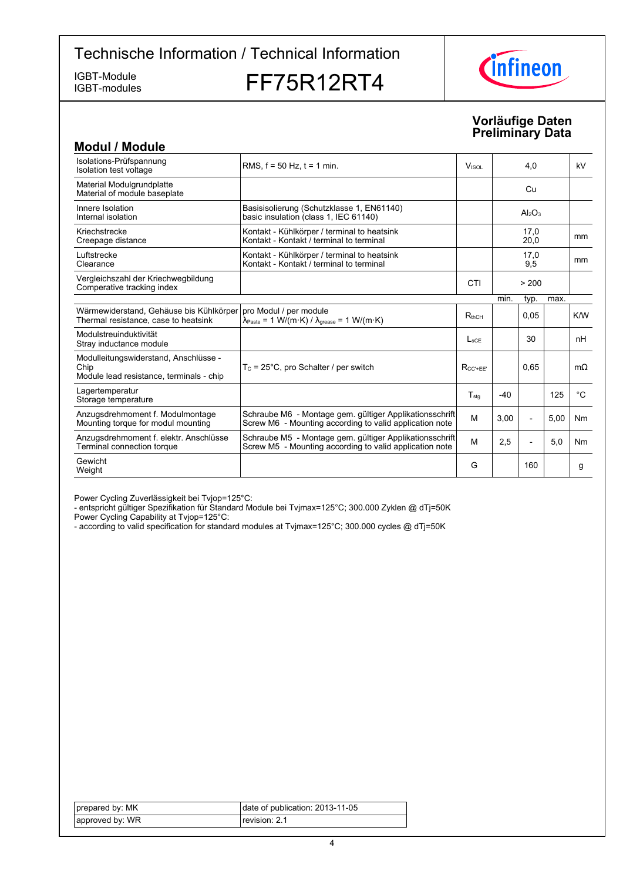IGBT-modules

IGBT-Module<br>IGBT-modules **FF75R12RT4** 



### **Vorläufige-Daten Preliminary-Data**

| <b>Modul / Module</b>                                                                     |                                                                                                                                                |                  |       |                          |      |               |
|-------------------------------------------------------------------------------------------|------------------------------------------------------------------------------------------------------------------------------------------------|------------------|-------|--------------------------|------|---------------|
| Isolations-Prüfspannung<br>Isolation test voltage                                         | RMS, $f = 50$ Hz, $t = 1$ min.                                                                                                                 | <b>VISOL</b>     |       | 4,0                      |      | kV            |
| Material Modulgrundplatte<br>Material of module baseplate                                 |                                                                                                                                                |                  |       | Cu                       |      |               |
| Innere Isolation<br>Internal isolation                                                    | Basisisolierung (Schutzklasse 1, EN61140)<br>basic insulation (class 1, IEC 61140)                                                             |                  |       | $Al_2O_3$                |      |               |
| Kriechstrecke<br>Creepage distance                                                        | Kontakt - Kühlkörper / terminal to heatsink<br>Kontakt - Kontakt / terminal to terminal                                                        |                  |       | 17,0<br>20,0             |      | mm            |
| Luftstrecke<br>Clearance                                                                  | Kontakt - Kühlkörper / terminal to heatsink<br>Kontakt - Kontakt / terminal to terminal                                                        |                  |       | 17,0<br>9,5              |      | <sub>mm</sub> |
| Vergleichszahl der Kriechwegbildung<br>Comperative tracking index                         |                                                                                                                                                | CTI              |       | > 200                    |      |               |
|                                                                                           |                                                                                                                                                |                  | min.  | typ.                     | max. |               |
| Wärmewiderstand, Gehäuse bis Kühlkörper<br>Thermal resistance, case to heatsink           | pro Modul / per module<br>$\lambda_{\text{Paste}} = 1 \text{ W/(m} \cdot \text{K)} / \lambda_{\text{grease}} = 1 \text{ W/(m} \cdot \text{K)}$ | $R_{thCH}$       |       | 0.05                     |      | K/W           |
| Modulstreuinduktivität<br>Stray inductance module                                         |                                                                                                                                                | $L_{\text{SCF}}$ |       | 30                       |      | nH            |
| Modulleitungswiderstand, Anschlüsse -<br>Chip<br>Module lead resistance, terminals - chip | $T_c = 25^{\circ}$ C, pro Schalter / per switch                                                                                                | $R_{CC' + FF'}$  |       | 0.65                     |      | $m\Omega$     |
| Lagertemperatur<br>Storage temperature                                                    |                                                                                                                                                | $T_{\text{stq}}$ | $-40$ |                          | 125  | °C            |
| Anzugsdrehmoment f. Modulmontage<br>Mounting torque for modul mounting                    | Schraube M6 - Montage gem. gültiger Applikationsschrift<br>Screw M6 - Mounting according to valid application note                             | M                | 3,00  | $\overline{\phantom{a}}$ | 5,00 | Nm            |
| Anzugsdrehmoment f. elektr. Anschlüsse<br>Terminal connection torque                      | Schraube M5 - Montage gem. gültiger Applikationsschrift<br>Screw M5 - Mounting according to valid application note                             | M                | 2,5   | $\overline{a}$           | 5,0  | Nm            |
| Gewicht<br>Weight                                                                         |                                                                                                                                                | G                |       | 160                      |      | g             |

Power Cycling Zuverlässigkeit bei Tvjop=125°C:

- entspricht gültiger Spezifikation für Standard Module bei Tvjmax=125°C; 300.000 Zyklen @ dTj=50K

Power Cycling Capability at Tvjop=125°C:

- according to valid specification for standard modules at Tvjmax=125°C; 300.000 cycles @ dTj=50K

| prepared by: MK | date of publication: 2013-11-05 |
|-----------------|---------------------------------|
| approved by: WR | revision: 2.1                   |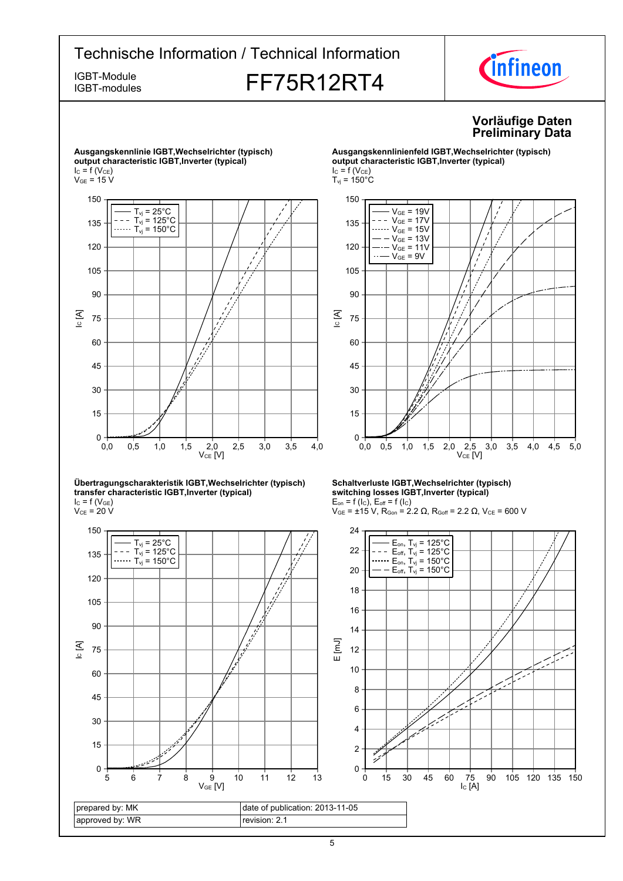IGBT-modules

# IGBT-Module<br>IGBT-modules **FF75R12RT4**



### **Vorläufige-Daten Preliminary-Data**





#### **Übertragungscharakteristik-IGBT,Wechselrichter-(typisch) transfer-characteristic-IGBT,Inverter-(typical)**  $I_{C}$  = f (V<sub>GE</sub>)

 $\rm V_{CE}$  = 20 V



#### **Ausgangskennlinienfeld-IGBT,Wechselrichter-(typisch) output-characteristic-IGBT,Inverter-(typical)**  $I_C = f(V_{CE})$



#### **Schaltverluste-IGBT,Wechselrichter-(typisch) switching-losses-IGBT,Inverter-(typical)**  $E_{on}$  = f (l<sub>C</sub>),  $E_{off}$  = f (l<sub>C</sub>)

 $V_{GE}$  = ±15 V, R<sub>Gon</sub> = 2.2 Ω, R<sub>Goff</sub> = 2.2 Ω, V<sub>CE</sub> = 600 V

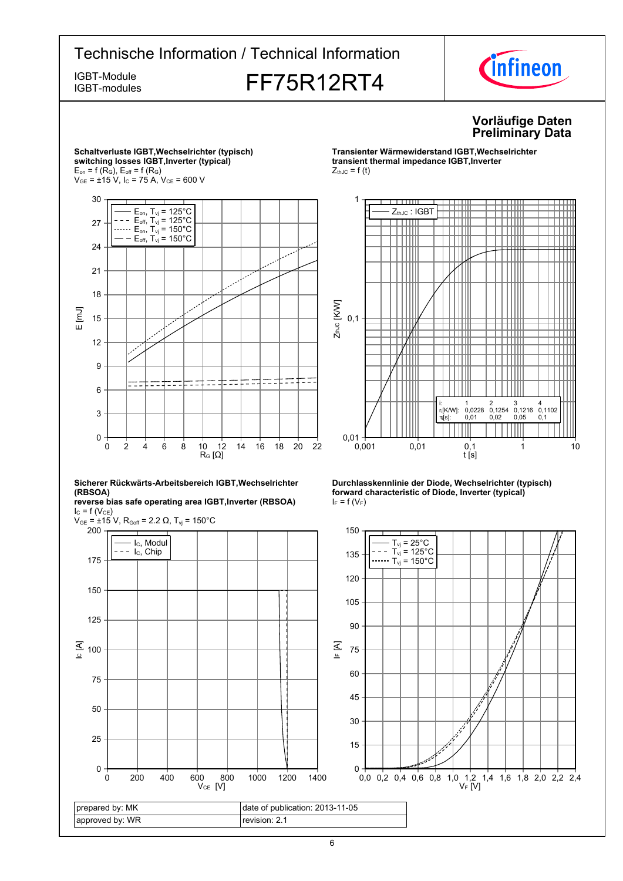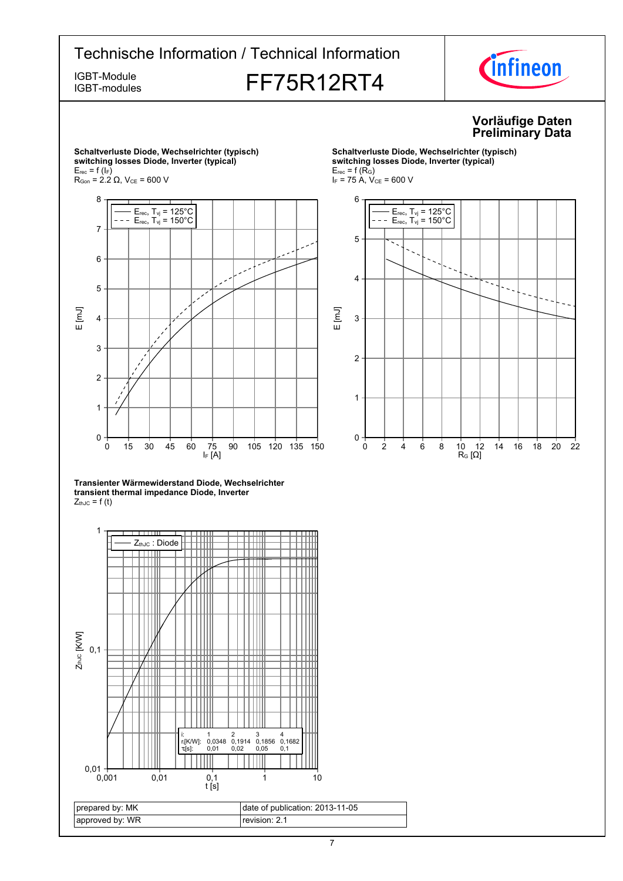IGBT-modules

# IGBT-Module<br>IGBT-modules **FF75R12RT4**



### **Vorläufige-Daten Preliminary-Data**



**Schaltverluste-Diode,-Wechselrichter-(typisch)**  $s$ witching losses Diode, Inverter (typical)  $E_{rec}$  = f (R<sub>G</sub>)  $I_F$  = 75 A,  $V_{CE}$  = 600 V



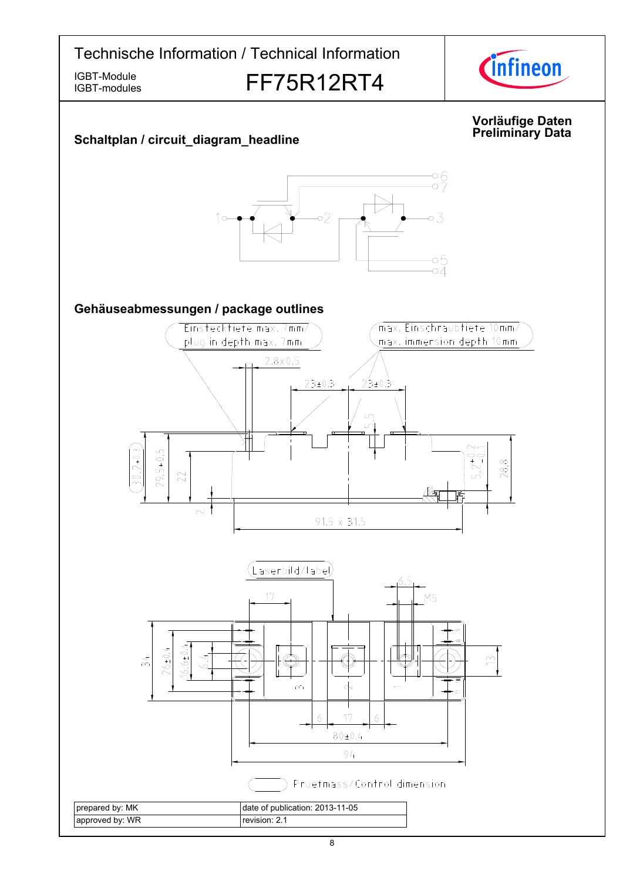IGBT-modules

# IGBT-Module<br>IGBT-modules **FF75R12RT4**



### **Vorläufige-Daten Data Schaltplan-/-circuit\_diagram\_headline Preliminary-** $\frac{6}{2}$  $\circ 2$ 03  $1<sub>o</sub>$ -05<br>-04 Gehäuseabmessungen / package outlines Einstecktiefe max. 7mm/ max. Einschraubtiefe 10mm/ plug in depth max. 7mm max. immersion depth 10mm  $2.8 \times 0.5$  $23 \pm 0.3$  $23 \pm 0.3$  $\overline{L}$  $29.5 + 0.5$  $30.2 + 0.3$  $2^{+0}$ .  $\infty$  $28$ 22  $\sim$  $91.5 \times 31.5$ .aserbild/label) 17 M5  $26 \pm 0.4$  $6.6 \pm 0.$  $\widetilde{\gamma}$  $\widetilde{\mathbb{C}}$  $\sim$  $\lambda$  $\overline{6}$  $17$  $\overline{6}$  $80 \pm 0.4$  $94$ Pruefmass/Control dimension prepared by: MK date of publication: 2013-11-05 approved by: WR revision: 2.1